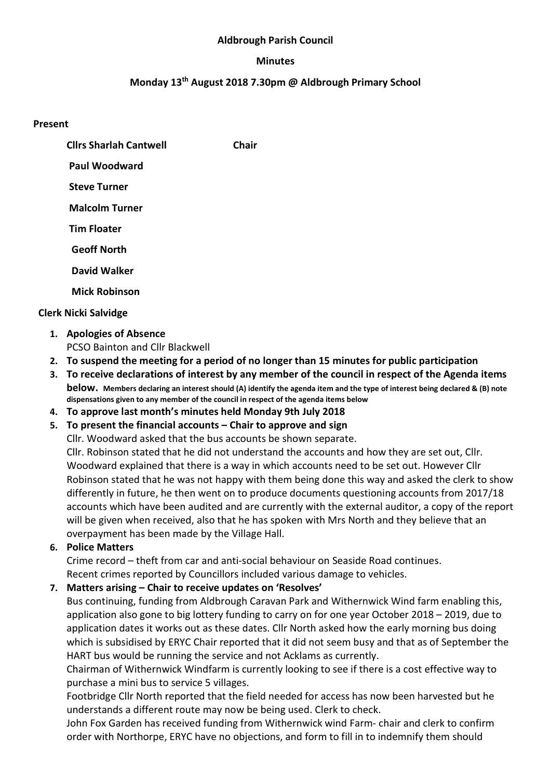#### Aldbrough Parish Council

#### Minutes

#### Monday 13th August 2018 7.30pm @ Aldbrough Primary School

#### Present

Cllrs Sharlah Cantwell Chair

Paul Woodward

Steve Turner

Malcolm Turner

Tim Floater

Geoff North

David Walker

Mick Robinson

## Clerk Nicki Salvidge

- 1. Apologies of Absence PCSO Bainton and Cllr Blackwell
- 2. To suspend the meeting for a period of no longer than 15 minutes for public participation
- 3. To receive declarations of interest by any member of the council in respect of the Agenda items below. Members declaring an interest should (A) identify the agenda item and the type of interest being declared & (B) note dispensations given to any member of the council in respect of the agenda items below
- 4. To approve last month's minutes held Monday 9th July 2018

## 5. To present the financial accounts – Chair to approve and sign

Cllr. Woodward asked that the bus accounts be shown separate.

Cllr. Robinson stated that he did not understand the accounts and how they are set out, Cllr. Woodward explained that there is a way in which accounts need to be set out. However Cllr Robinson stated that he was not happy with them being done this way and asked the clerk to show differently in future, he then went on to produce documents questioning accounts from 2017/18 accounts which have been audited and are currently with the external auditor, a copy of the report will be given when received, also that he has spoken with Mrs North and they believe that an overpayment has been made by the Village Hall.

## 6. Police Matters

Crime record – theft from car and anti-social behaviour on Seaside Road continues. Recent crimes reported by Councillors included various damage to vehicles.

## 7. Matters arising – Chair to receive updates on 'Resolves'

Bus continuing, funding from Aldbrough Caravan Park and Withernwick Wind farm enabling this, application also gone to big lottery funding to carry on for one year October 2018 – 2019, due to application dates it works out as these dates. Cllr North asked how the early morning bus doing which is subsidised by ERYC Chair reported that it did not seem busy and that as of September the HART bus would be running the service and not Acklams as currently.

Chairman of Withernwick Windfarm is currently looking to see if there is a cost effective way to purchase a mini bus to service 5 villages.

Footbridge Cllr North reported that the field needed for access has now been harvested but he understands a different route may now be being used. Clerk to check.

John Fox Garden has received funding from Withernwick wind Farm- chair and clerk to confirm order with Northorpe, ERYC have no objections, and form to fill in to indemnify them should